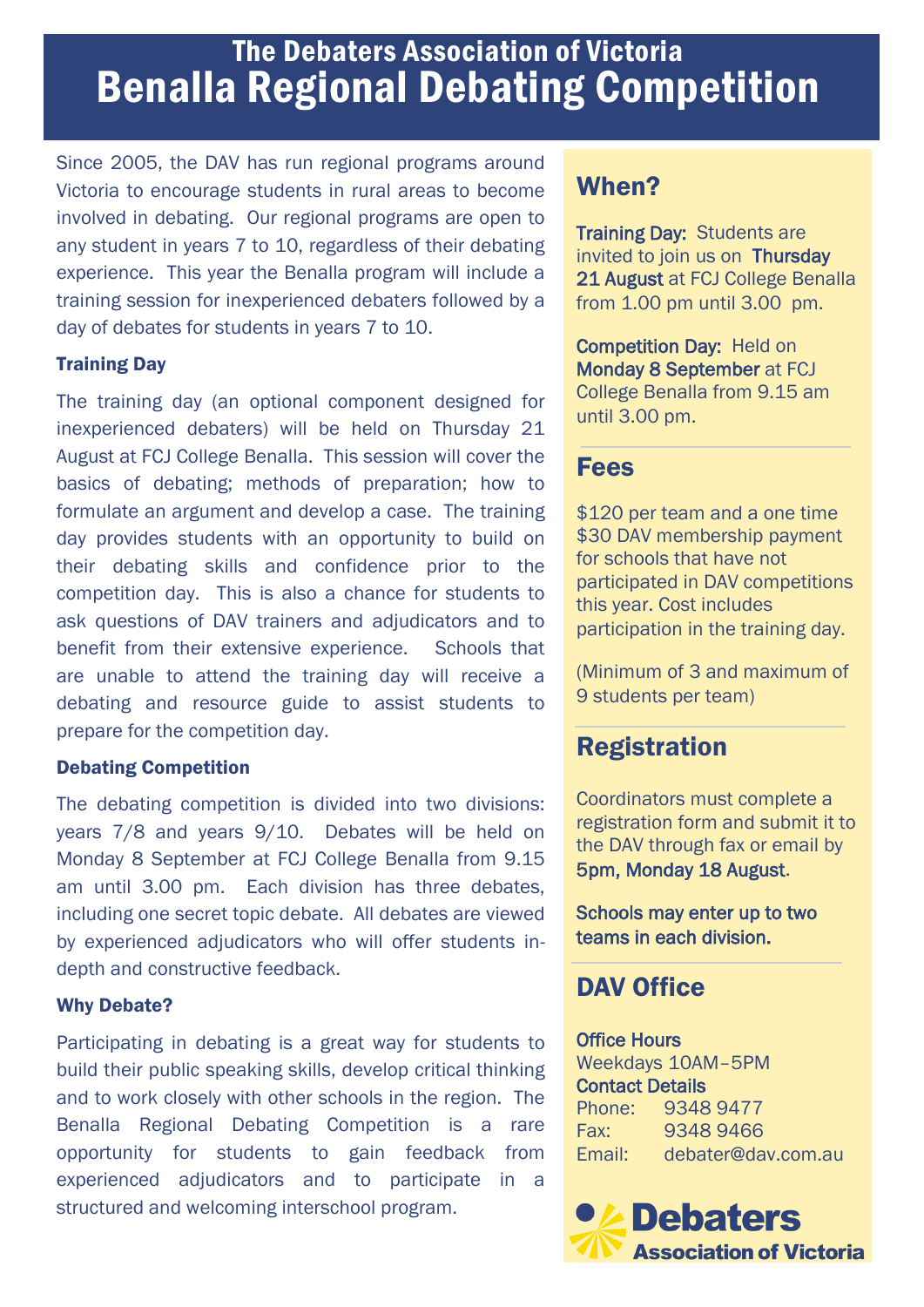# The Debaters Association of Victoria Benalla Regional Debating Competition

Since 2005, the DAV has run regional programs around Victoria to encourage students in rural areas to become involved in debating. Our regional programs are open to any student in years 7 to 10, regardless of their debating experience. This year the Benalla program will include a training session for inexperienced debaters followed by a day of debates for students in years 7 to 10.

#### Training Day

The training day (an optional component designed for inexperienced debaters) will be held on Thursday 21 August at FCJ College Benalla. This session will cover the basics of debating; methods of preparation; how to formulate an argument and develop a case. The training day provides students with an opportunity to build on their debating skills and confidence prior to the competition day. This is also a chance for students to ask questions of DAV trainers and adjudicators and to benefit from their extensive experience. Schools that are unable to attend the training day will receive a debating and resource guide to assist students to prepare for the competition day.

#### Debating Competition

The debating competition is divided into two divisions: years 7/8 and years 9/10. Debates will be held on Monday 8 September at FCJ College Benalla from 9.15 am until 3.00 pm. Each division has three debates, including one secret topic debate. All debates are viewed by experienced adjudicators who will offer students indepth and constructive feedback.

#### Why Debate?

Participating in debating is a great way for students to build their public speaking skills, develop critical thinking and to work closely with other schools in the region. The Benalla Regional Debating Competition is a rare opportunity for students to gain feedback from experienced adjudicators and to participate in a structured and welcoming interschool program.

## When?

Training Day: Students are invited to join us on Thursday 21 August at FCJ College Benalla from 1.00 pm until 3.00 pm.

Competition Day: Held on Monday 8 September at FCJ College Benalla from 9.15 am until 3.00 pm.

### Fees

\$120 per team and a one time \$30 DAV membership payment for schools that have not participated in DAV competitions this year. Cost includes participation in the training day.

(Minimum of 3 and maximum of 9 students per team)

### Registration

Coordinators must complete a registration form and submit it to the DAV through fax or email by 5pm, Monday 18 August.

Schools may enter up to two teams in each division.

### DAV Office

Office Hours Weekdays 10AM–5PM Contact Details Phone: 9348 9477 Fax: 9348 9466 Email: debater@dav.com.au